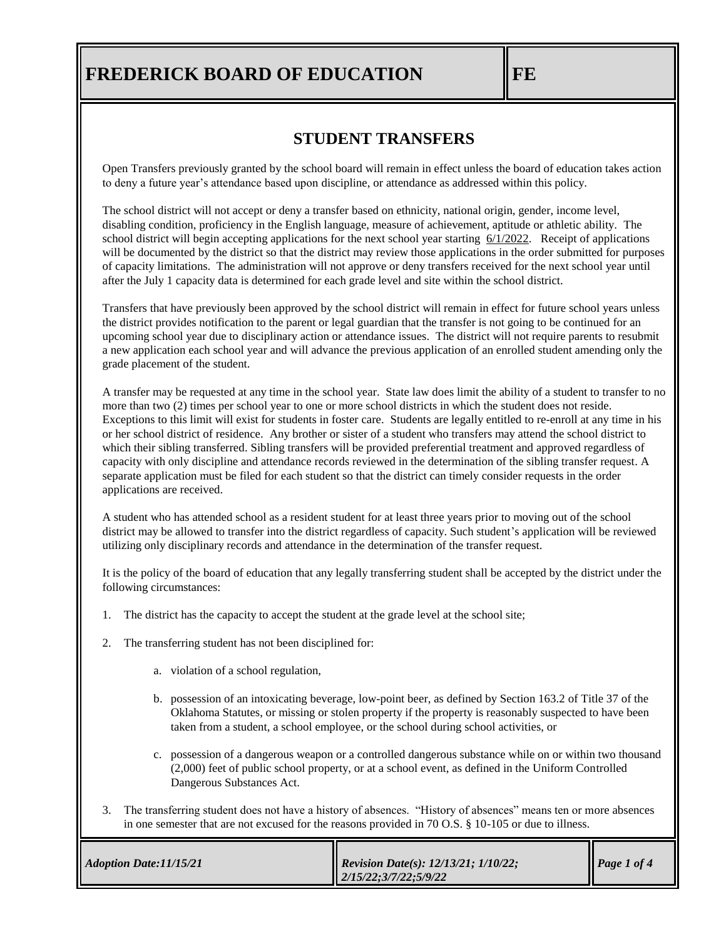### **STUDENT TRANSFERS**

Open Transfers previously granted by the school board will remain in effect unless the board of education takes action to deny a future year's attendance based upon discipline, or attendance as addressed within this policy.

The school district will not accept or deny a transfer based on ethnicity, national origin, gender, income level, disabling condition, proficiency in the English language, measure of achievement, aptitude or athletic ability. The school district will begin accepting applications for the next school year starting 6/1/2022. Receipt of applications will be documented by the district so that the district may review those applications in the order submitted for purposes of capacity limitations. The administration will not approve or deny transfers received for the next school year until after the July 1 capacity data is determined for each grade level and site within the school district.

Transfers that have previously been approved by the school district will remain in effect for future school years unless the district provides notification to the parent or legal guardian that the transfer is not going to be continued for an upcoming school year due to disciplinary action or attendance issues. The district will not require parents to resubmit a new application each school year and will advance the previous application of an enrolled student amending only the grade placement of the student.

A transfer may be requested at any time in the school year. State law does limit the ability of a student to transfer to no more than two (2) times per school year to one or more school districts in which the student does not reside. Exceptions to this limit will exist for students in foster care. Students are legally entitled to re-enroll at any time in his or her school district of residence. Any brother or sister of a student who transfers may attend the school district to which their sibling transferred. Sibling transfers will be provided preferential treatment and approved regardless of capacity with only discipline and attendance records reviewed in the determination of the sibling transfer request. A separate application must be filed for each student so that the district can timely consider requests in the order applications are received.

A student who has attended school as a resident student for at least three years prior to moving out of the school district may be allowed to transfer into the district regardless of capacity. Such student's application will be reviewed utilizing only disciplinary records and attendance in the determination of the transfer request.

It is the policy of the board of education that any legally transferring student shall be accepted by the district under the following circumstances:

- 1. The district has the capacity to accept the student at the grade level at the school site;
- 2. The transferring student has not been disciplined for:
	- a. violation of a school regulation,
	- b. possession of an intoxicating beverage, low-point beer, as defined by [Section 163.2](https://www.oscn.net/applications/oscn/DeliverDocument.asp?citeid=77990) of Title 37 of the Oklahoma Statutes, or missing or stolen property if the property is reasonably suspected to have been taken from a student, a school employee, or the school during school activities, or
	- c. possession of a dangerous weapon or a controlled dangerous substance while on or within two thousand (2,000) feet of public school property, or at a school event, as defined in the Uniform Controlled Dangerous Substances Act.
- 3. The transferring student does not have a history of absences. "History of absences" means ten or more absences in one semester that are not excused for the reasons provided in 70 O.S. § 10-105 or due to illness.

 $\overline{\mathbf{r}}$ 

| Adoption Date:11/15/21 | <b>Revision Date(s): 12/13/21; 1/10/22;</b><br>$\parallel$ 2/15/22;3/7/22;5/9/22 | $\blacksquare$ Page 1 of 4 |
|------------------------|----------------------------------------------------------------------------------|----------------------------|
|------------------------|----------------------------------------------------------------------------------|----------------------------|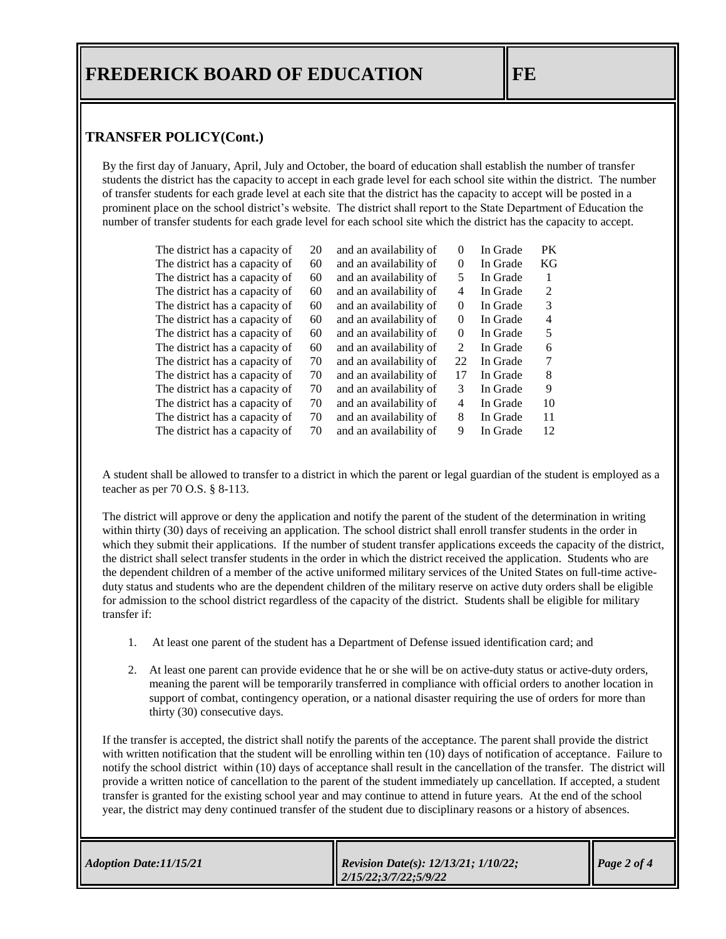#### **TRANSFER POLICY(Cont.)**

By the first day of January, April, July and October, the board of education shall establish the number of transfer students the district has the capacity to accept in each grade level for each school site within the district. The number of transfer students for each grade level at each site that the district has the capacity to accept will be posted in a prominent place on the school district's website. The district shall report to the State Department of Education the number of transfer students for each grade level for each school site which the district has the capacity to accept.

| The district has a capacity of | 20 | and an availability of | $\Omega$ | In Grade | PK. |
|--------------------------------|----|------------------------|----------|----------|-----|
| The district has a capacity of | 60 | and an availability of | $\Omega$ | In Grade | KG  |
| The district has a capacity of | 60 | and an availability of | 5        | In Grade | 1   |
| The district has a capacity of | 60 | and an availability of | 4        | In Grade | 2   |
| The district has a capacity of | 60 | and an availability of | $\Omega$ | In Grade | 3   |
| The district has a capacity of | 60 | and an availability of | $\theta$ | In Grade | 4   |
| The district has a capacity of | 60 | and an availability of | $\Omega$ | In Grade | 5   |
| The district has a capacity of | 60 | and an availability of | 2        | In Grade | 6   |
| The district has a capacity of | 70 | and an availability of | 22       | In Grade | 7   |
| The district has a capacity of | 70 | and an availability of | 17       | In Grade | 8   |
| The district has a capacity of | 70 | and an availability of | 3        | In Grade | 9   |
| The district has a capacity of | 70 | and an availability of | 4        | In Grade | 10  |
| The district has a capacity of | 70 | and an availability of | 8        | In Grade | 11  |
| The district has a capacity of | 70 | and an availability of | 9        | In Grade | 12  |
|                                |    |                        |          |          |     |

A student shall be allowed to transfer to a district in which the parent or legal guardian of the student is employed as a teacher as per 70 O.S. § 8-113.

The district will approve or deny the application and notify the parent of the student of the determination in writing within thirty (30) days of receiving an application. The school district shall enroll transfer students in the order in which they submit their applications. If the number of student transfer applications exceeds the capacity of the district, the district shall select transfer students in the order in which the district received the application. Students who are the dependent children of a member of the active uniformed military services of the United States on full-time activeduty status and students who are the dependent children of the military reserve on active duty orders shall be eligible for admission to the school district regardless of the capacity of the district. Students shall be eligible for military transfer if:

- 1. At least one parent of the student has a Department of Defense issued identification card; and
- 2. At least one parent can provide evidence that he or she will be on active-duty status or active-duty orders, meaning the parent will be temporarily transferred in compliance with official orders to another location in support of combat, contingency operation, or a national disaster requiring the use of orders for more than thirty (30) consecutive days.

If the transfer is accepted, the district shall notify the parents of the acceptance. The parent shall provide the district with written notification that the student will be enrolling within ten (10) days of notification of acceptance. Failure to notify the school district within (10) days of acceptance shall result in the cancellation of the transfer. The district will provide a written notice of cancellation to the parent of the student immediately up cancellation. If accepted, a student transfer is granted for the existing school year and may continue to attend in future years. At the end of the school year, the district may deny continued transfer of the student due to disciplinary reasons or a history of absences.

| Adoption Date: 11/15/21 | <b>Revision Date(s): 12/13/21; 1/10/22;</b><br>$\parallel$ 2/15/22;3/7/22;5/9/22 | $\vert$ Page 2 of 4 |
|-------------------------|----------------------------------------------------------------------------------|---------------------|
|-------------------------|----------------------------------------------------------------------------------|---------------------|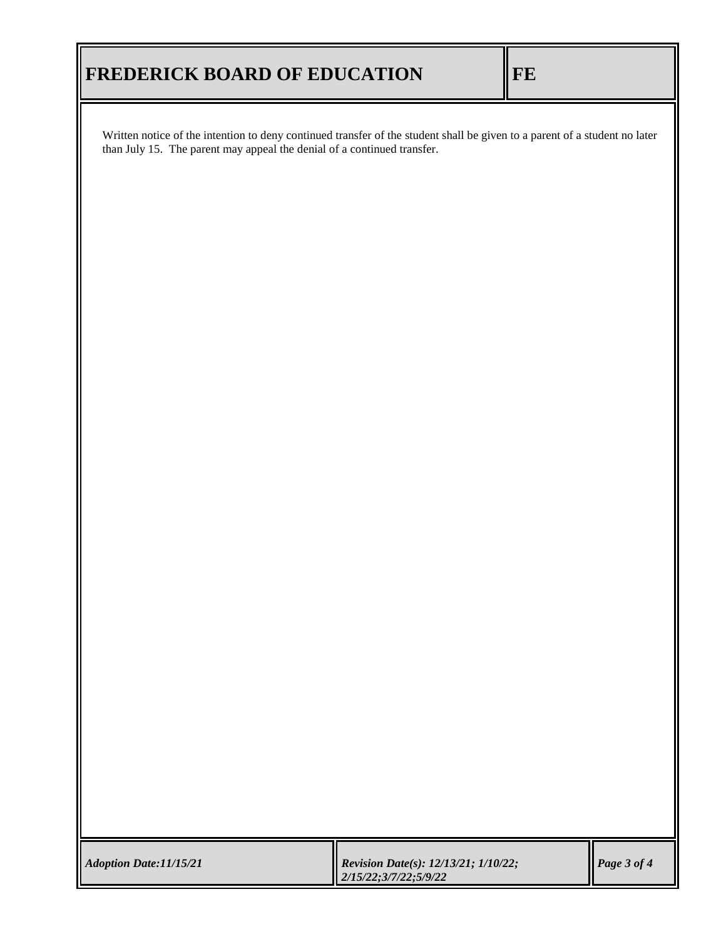Written notice of the intention to deny continued transfer of the student shall be given to a parent of a student no later than July 15. The parent may appeal the denial of a continued transfer.

| Adoption Date: 11/15/21 | <b>Revision Date(s): 12/13/21; 1/10/22;</b><br>$2/15/22$ ; 3/7/22; 5/9/22 | $\vert$ Page 3 of 4 |
|-------------------------|---------------------------------------------------------------------------|---------------------|
|-------------------------|---------------------------------------------------------------------------|---------------------|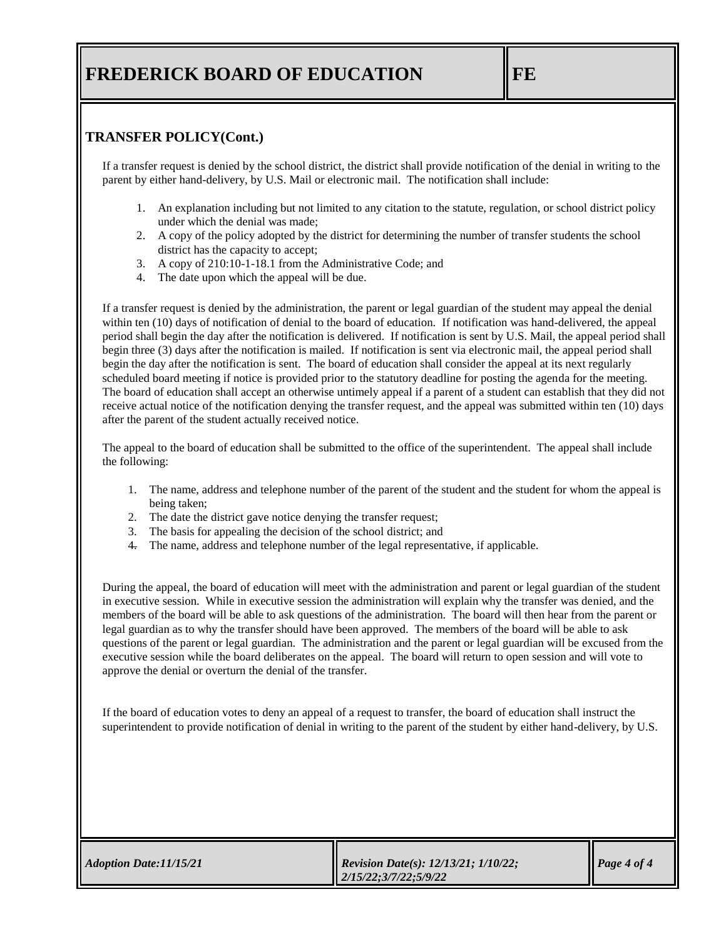### **TRANSFER POLICY(Cont.)**

If a transfer request is denied by the school district, the district shall provide notification of the denial in writing to the parent by either hand-delivery, by U.S. Mail or electronic mail. The notification shall include:

- 1. An explanation including but not limited to any citation to the statute, regulation, or school district policy under which the denial was made;
- 2. A copy of the policy adopted by the district for determining the number of transfer students the school district has the capacity to accept;
- 3. A copy of 210:10-1-18.1 from the Administrative Code; and
- 4. The date upon which the appeal will be due.

If a transfer request is denied by the administration, the parent or legal guardian of the student may appeal the denial within ten (10) days of notification of denial to the board of education. If notification was hand-delivered, the appeal period shall begin the day after the notification is delivered. If notification is sent by U.S. Mail, the appeal period shall begin three (3) days after the notification is mailed. If notification is sent via electronic mail, the appeal period shall begin the day after the notification is sent. The board of education shall consider the appeal at its next regularly scheduled board meeting if notice is provided prior to the statutory deadline for posting the agenda for the meeting. The board of education shall accept an otherwise untimely appeal if a parent of a student can establish that they did not receive actual notice of the notification denying the transfer request, and the appeal was submitted within ten (10) days after the parent of the student actually received notice.

The appeal to the board of education shall be submitted to the office of the superintendent. The appeal shall include the following:

- 1. The name, address and telephone number of the parent of the student and the student for whom the appeal is being taken;
- 2. The date the district gave notice denying the transfer request;
- 3. The basis for appealing the decision of the school district; and
- 4. The name, address and telephone number of the legal representative, if applicable.

During the appeal, the board of education will meet with the administration and parent or legal guardian of the student in executive session. While in executive session the administration will explain why the transfer was denied, and the members of the board will be able to ask questions of the administration. The board will then hear from the parent or legal guardian as to why the transfer should have been approved. The members of the board will be able to ask questions of the parent or legal guardian. The administration and the parent or legal guardian will be excused from the executive session while the board deliberates on the appeal. The board will return to open session and will vote to approve the denial or overturn the denial of the transfer.

If the board of education votes to deny an appeal of a request to transfer, the board of education shall instruct the superintendent to provide notification of denial in writing to the parent of the student by either hand-delivery, by U.S.

| Adoption Date: 11/15/21 | <b>Revision Date(s): 12/13/21; 1/10/22;</b><br>$\parallel$ 2/15/22;3/7/22;5/9/22 | $\vert$ Page 4 of 4 |
|-------------------------|----------------------------------------------------------------------------------|---------------------|
|                         |                                                                                  |                     |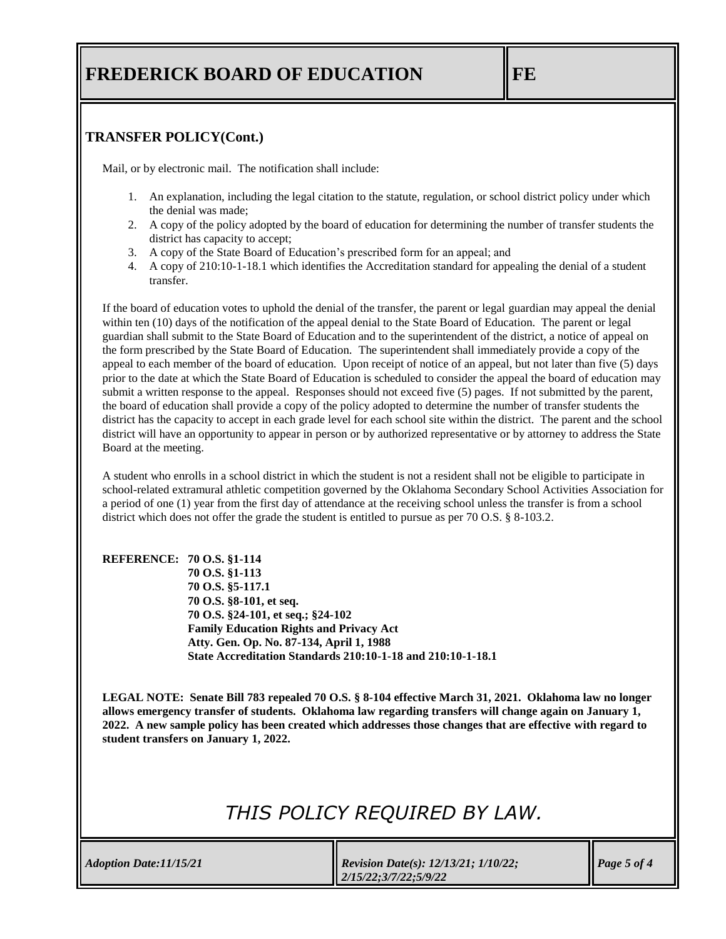### **TRANSFER POLICY(Cont.)**

Mail, or by electronic mail. The notification shall include:

- 1. An explanation, including the legal citation to the statute, regulation, or school district policy under which the denial was made;
- 2. A copy of the policy adopted by the board of education for determining the number of transfer students the district has capacity to accept;
- 3. A copy of the State Board of Education's prescribed form for an appeal; and
- 4. A copy of 210:10-1-18.1 which identifies the Accreditation standard for appealing the denial of a student transfer.

If the board of education votes to uphold the denial of the transfer, the parent or legal guardian may appeal the denial within ten (10) days of the notification of the appeal denial to the State Board of Education. The parent or legal guardian shall submit to the State Board of Education and to the superintendent of the district, a notice of appeal on the form prescribed by the State Board of Education. The superintendent shall immediately provide a copy of the appeal to each member of the board of education. Upon receipt of notice of an appeal, but not later than five (5) days prior to the date at which the State Board of Education is scheduled to consider the appeal the board of education may submit a written response to the appeal. Responses should not exceed five (5) pages. If not submitted by the parent, the board of education shall provide a copy of the policy adopted to determine the number of transfer students the district has the capacity to accept in each grade level for each school site within the district. The parent and the school district will have an opportunity to appear in person or by authorized representative or by attorney to address the State Board at the meeting.

A student who enrolls in a school district in which the student is not a resident shall not be eligible to participate in school-related extramural athletic competition governed by the Oklahoma Secondary School Activities Association for a period of one (1) year from the first day of attendance at the receiving school unless the transfer is from a school district which does not offer the grade the student is entitled to pursue as per 70 O.S. § 8-103.2.

#### **REFERENCE: 70 O.S. §1-114**

**70 O.S. §1-113 70 O.S. §5-117.1 70 O.S. §8-101, et seq. 70 O.S. §24-101, et seq.; §24-102 Family Education Rights and Privacy Act Atty. Gen. Op. No. 87-134, April 1, 1988 State Accreditation Standards 210:10-1-18 and 210:10-1-18.1**

**LEGAL NOTE: Senate Bill 783 repealed 70 O.S. § 8-104 effective March 31, 2021. Oklahoma law no longer allows emergency transfer of students. Oklahoma law regarding transfers will change again on January 1, 2022. A new sample policy has been created which addresses those changes that are effective with regard to student transfers on January 1, 2022.** 

# *THIS POLICY REQUIRED BY LAW.*

| <b>Revision Date(s): 12/13/21; 1/10/22;</b><br>Adoption Date: 11/15/21<br>$\parallel$ 2/15/22;3/7/22;5/9/22 |  |  | $\vert$ Page 5 of 4 |
|-------------------------------------------------------------------------------------------------------------|--|--|---------------------|
|-------------------------------------------------------------------------------------------------------------|--|--|---------------------|